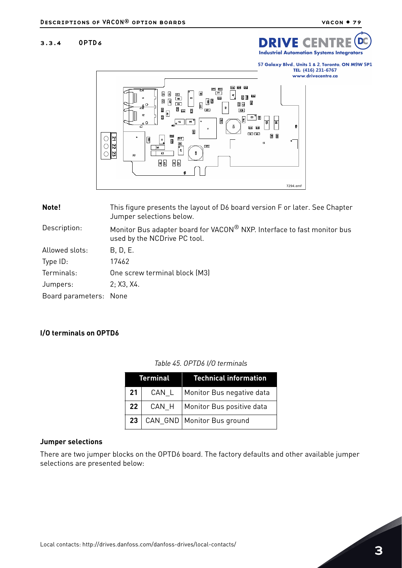# 3.3.4 OPTD6



57 Galaxy Blvd., Units 1 & 2, Toronto, ON M9W 5P1 TEL: (416) 231-6767

#### www.drivecentre.ca



| Note!                  | This figure presents the layout of D6 board version F or later. See Chapter<br>Jumper selections below. |  |
|------------------------|---------------------------------------------------------------------------------------------------------|--|
| Description:           | Monitor Bus adapter board for VACON® NXP. Interface to fast monitor bus<br>used by the NCDrive PC tool. |  |
| Allowed slots:         | B, D, E.                                                                                                |  |
| Type ID:               | 17462                                                                                                   |  |
| Terminals:             | One screw terminal block (M3)                                                                           |  |
| Jumpers:               | 2; X3, X4.                                                                                              |  |
| Board parameters: None |                                                                                                         |  |

# **I/O terminals on OPTD6**

| Terminal        |         | <b>Technical information</b>      |
|-----------------|---------|-----------------------------------|
| 21              | $CAN_L$ | Monitor Bus negative data         |
| 22 <sub>1</sub> |         | CAN_H   Monitor Bus positive data |
| 23 <sub>1</sub> |         | CAN_GND   Monitor Bus ground      |

#### *Table 45. OPTD6 I/O terminals*

## **Jumper selections**

There are two jumper blocks on the OPTD6 board. The factory defaults and other available jumper selections are presented below: